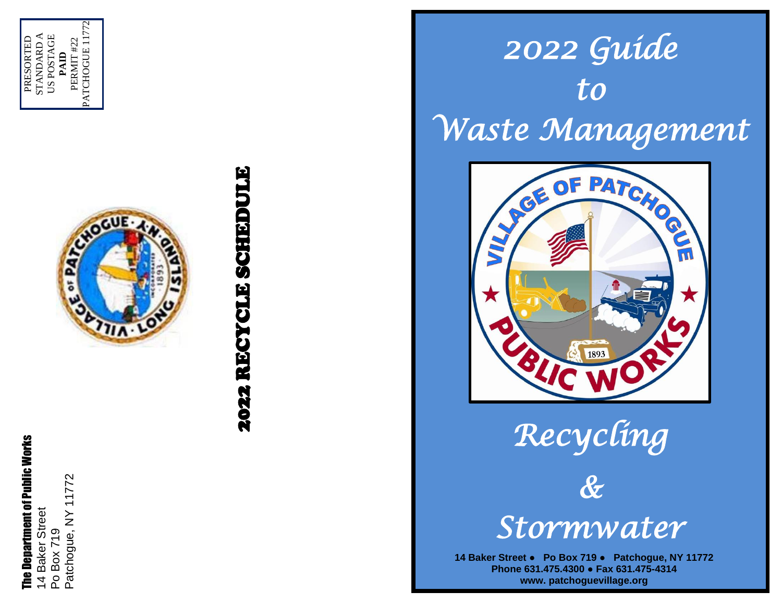





*Recycling &* 

**Stormware CONTROLLING**<br> **STOYMWATEY**<br>
The Department of Public Works 14 Baker Street Po Box 719 Patchogue, NY 11<br>
The Department of Phone 631.475.4300 Pax 631.475-4314<br>
The Department of Phone 631.475.4300 Pax 631.475-431 **14 Baker Street ● Po Box 719 ● Patchogue, NY 11772 Phone 631.475.4300 ● Fax 631.475 -4314 www. patchoguevillage.org**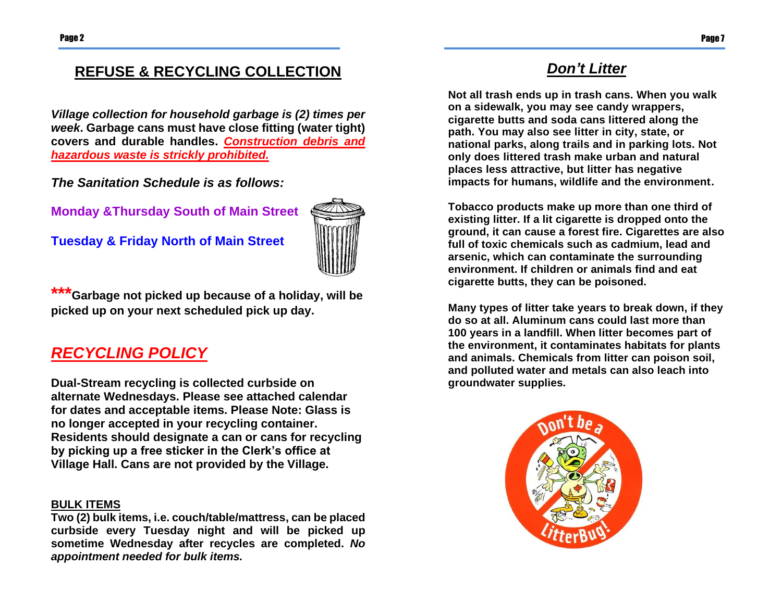## **REFUSE & RECYCLING COLLECTION**

*Village collection for household garbage is (2) times per week***. Garbage cans must have close fitting (water tight) covers and durable handles.** *Construction debris and hazardous waste is strickly prohibited.*

*The Sanitation Schedule is as follows:* 

**Monday &Thursday South of Main Street**

**Tuesday & Friday North of Main Street** 



**\*\*\*Garbage not picked up because of a holiday, will be picked up on your next scheduled pick up day.**

# *RECYCLING POLICY*

**Dual-Stream recycling is collected curbside on alternate Wednesdays. Please see attached calendar for dates and acceptable items. Please Note: Glass is no longer accepted in your recycling container. Residents should designate a can or cans for recycling by picking up a free sticker in the Clerk's office at Village Hall. Cans are not provided by the Village.**

#### **BULK ITEMS**

**Two (2) bulk items, i.e. couch/table/mattress, can be placed curbside every Tuesday night and will be picked up sometime Wednesday after recycles are completed.** *No appointment needed for bulk items.*

# *Don't Litter*

**Not all trash ends up in trash cans. When you walk on a sidewalk, you may see candy wrappers, cigarette butts and soda cans littered along the path. You may also see litter in city, state, or national parks, along trails and in parking lots. Not only does littered trash make urban and natural places less attractive, but litter has negative impacts for humans, wildlife and the environment.**

**Tobacco products make up more than one third of existing litter. If a lit cigarette is dropped onto the ground, it can cause a forest fire. Cigarettes are also full of toxic chemicals such as cadmium, lead and arsenic, which can contaminate the surrounding environment. If children or animals find and eat cigarette butts, they can be poisoned.**

**Many types of litter take years to break down, if they do so at all. Aluminum cans could last more than 100 years in a landfill. When litter becomes part of the environment, it contaminates habitats for plants and animals. Chemicals from litter can poison soil, and polluted water and metals can also leach into groundwater supplies.**

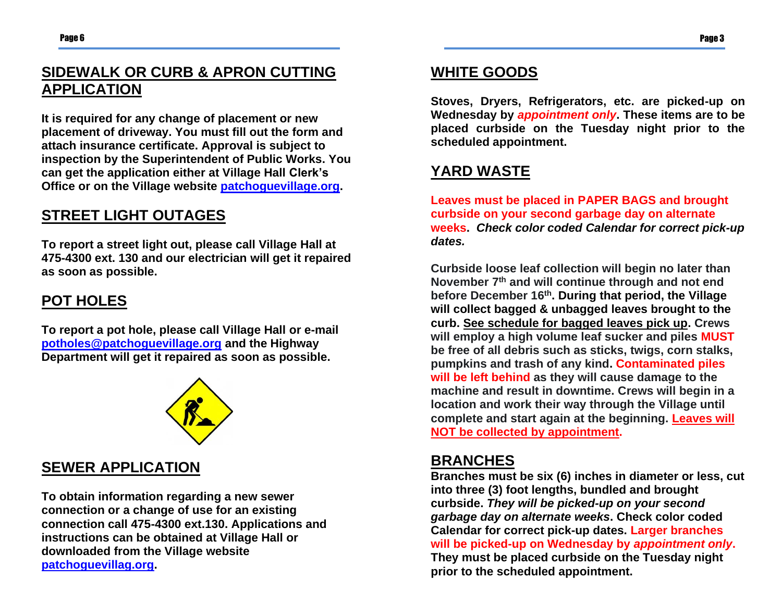# **SIDEWALK OR CURB & APRON CUTTING APPLICATION**

**It is required for any change of placement or new placement of driveway. You must fill out the form and attach insurance certificate. Approval is subject to inspection by the Superintendent of Public Works. You can get the application either at Village Hall Clerk's Office or on the Village website [patchoguevillage.org.](http://www.patchoguevillage.org/)**

#### **STREET LIGHT OUTAGES**

**To report a street light out, please call Village Hall at 475-4300 ext. 130 and our electrician will get it repaired as soon as possible.** 

#### **POT HOLES**

**To report a pot hole, please call Village Hall or e-mail [potholes@patchoguevillage.org](mailto:potholes@patchoguevillage.org) and the Highway Department will get it repaired as soon as possible.** 



### **SEWER APPLICATION**

**To obtain information regarding a new sewer connection or a change of use for an existing connection call 475-4300 ext.130. Applications and instructions can be obtained at Village Hall or downloaded from the Village website [patchoguevillag.org.](http://www.patchoguevillage.org/)** 

## **WHITE GOODS**

**Stoves, Dryers, Refrigerators, etc. are picked-up on Wednesday by** *appointment only***. These items are to be placed curbside on the Tuesday night prior to the scheduled appointment.** 

# **YARD WASTE**

**Leaves must be placed in PAPER BAGS and brought curbside on your second garbage day on alternate weeks.** *Check color coded [Calendar](http://www.patchoguevillage.org/DPW/2011%20Recycling%20Schedule.pdf) for correct pick-up dates.*

**Curbside loose leaf collection will begin no later than November 7 th and will continue through and not end before December 16 th . During that period, the Village will collect bagged & unbagged leaves brought to the curb. See schedule for bagged leaves pick up. Crews will employ a high volume leaf sucker and piles MUST be free of all debris such as sticks, twigs, corn stalks, pumpkins and trash of any kind. Contaminated piles will be left behind as they will cause damage to the machine and result in downtime. Crews will begin in a location and work their way through the Village until complete and start again at the beginning. Leaves will NOT be collected by appointment.**

#### **BRANCHES**

**Branches must be six (6) inches in diameter or less, cut into three (3) foot lengths, bundled and brought curbside.** *They will be picked-up on your second garbage day on alternate weeks***. Check color coded [Calendar](http://www.patchoguevillage.org/DPW/2011%20Recycling%20Schedule.pdf) for correct pick-up dates. Larger branches will be picked-up on Wednesday by** *appointment only***. They must be placed curbside on the Tuesday night prior to the scheduled appointment.**